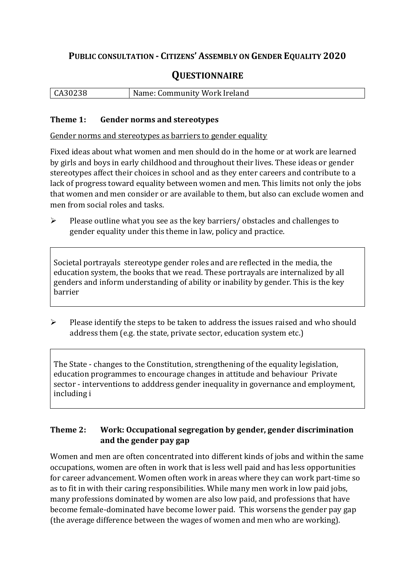# **PUBLIC CONSULTATION - CITIZENS' ASSEMBLY ON GENDER EQUALITY 2020**

# **QUESTIONNAIRE**

| CA30238 | Name: Community Work Ireland |
|---------|------------------------------|
|         |                              |

#### **Theme 1: Gender norms and stereotypes**

Gender norms and stereotypes as barriers to gender equality

Fixed ideas about what women and men should do in the home or at work are learned by girls and boys in early childhood and throughout their lives. These ideas or gender stereotypes affect their choices in school and as they enter careers and contribute to a lack of progress toward equality between women and men. This limits not only the jobs that women and men consider or are available to them, but also can exclude women and men from social roles and tasks.

➢ Please outline what you see as the key barriers/ obstacles and challenges to gender equality under this theme in law, policy and practice.

Societal portrayals stereotype gender roles and are reflected in the media, the education system, the books that we read. These portrayals are internalized by all genders and inform understanding of ability or inability by gender. This is the key barrier

 $\triangleright$  Please identify the steps to be taken to address the issues raised and who should address them (e.g. the state, private sector, education system etc.)

The State - changes to the Constitution, strengthening of the equality legislation, education programmes to encourage changes in attitude and behaviour Private sector - interventions to adddress gender inequality in governance and employment, including i

## **Theme 2: Work: Occupational segregation by gender, gender discrimination and the gender pay gap**

Women and men are often concentrated into different kinds of jobs and within the same occupations, women are often in work that is less well paid and has less opportunities for career advancement. Women often work in areas where they can work part-time so as to fit in with their caring responsibilities. While many men work in low paid jobs, many professions dominated by women are also low paid, and professions that have become female-dominated have become lower paid. This worsens the gender pay gap (the average difference between the wages of women and men who are working).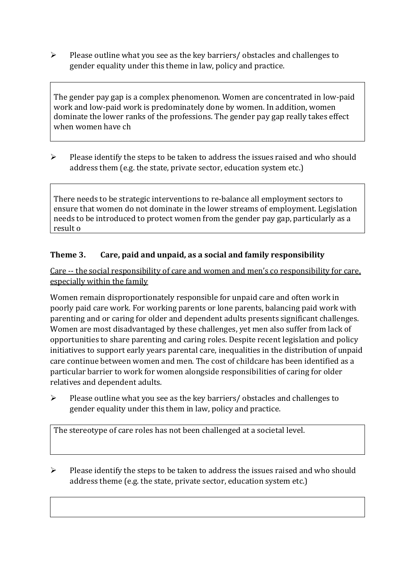➢ Please outline what you see as the key barriers/ obstacles and challenges to gender equality under this theme in law, policy and practice.

The gender pay gap is a complex phenomenon. Women are concentrated in low-paid work and low-paid work is predominately done by women. In addition, women dominate the lower ranks of the professions. The gender pay gap really takes effect when women have ch

 $\triangleright$  Please identify the steps to be taken to address the issues raised and who should address them (e.g. the state, private sector, education system etc.)

There needs to be strategic interventions to re-balance all employment sectors to ensure that women do not dominate in the lower streams of employment. Legislation needs to be introduced to protect women from the gender pay gap, particularly as a result o

#### **Theme 3. Care, paid and unpaid, as a social and family responsibility**

Care -- the social responsibility of care and women and men's co responsibility for care, especially within the family

Women remain disproportionately responsible for unpaid care and often work in poorly paid care work. For working parents or [lone parents,](https://aran.library.nuigalway.ie/bitstream/handle/10379/6044/Millar_and_Crosse_Activation_Report.pdf?sequence=1&isAllowed=y) balancing paid work with parenting and or caring for older and dependent adults presents significant challenges. Women are [most disadvantaged by these challenges,](https://eige.europa.eu/gender-equality-index/game/IE/W) yet men also suffer from lack of opportunities to share parenting and caring roles. Despite recent legislation and policy initiatives to support early years parental care, [inequalities in the distribution of unpaid](https://www.ihrec.ie/app/uploads/2019/07/Caring-and-Unpaid-Work-in-Ireland_Final.pdf)  [care](https://www.ihrec.ie/app/uploads/2019/07/Caring-and-Unpaid-Work-in-Ireland_Final.pdf) continue between women and men. The cost of childcare has been identified as a particular barrier to work for women alongside responsibilities of caring for older relatives and dependent adults.

➢ Please outline what you see as the key barriers/ obstacles and challenges to gender equality under this them in law, policy and practice.

The stereotype of care roles has not been challenged at a societal level.

 $\triangleright$  Please identify the steps to be taken to address the issues raised and who should address theme (e.g. the state, private sector, education system etc.)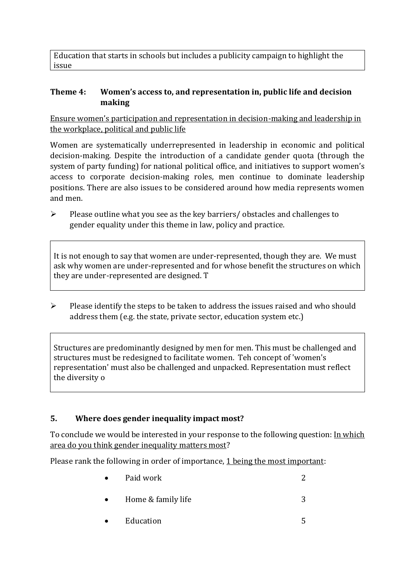Education that starts in schools but includes a publicity campaign to highlight the issue

#### **Theme 4: Women's access to, and representation in, public life and decision making**

Ensure women's participation and representation in decision-making and leadership in the workplace, political and public life

Women are systematically underrepresented in leadership in [economic](https://eige.europa.eu/gender-equality-index/2019/compare-countries/power/2/bar) and [political](https://eige.europa.eu/gender-equality-index/2019/compare-countries/power/1/bar)  [decision-](https://eige.europa.eu/gender-equality-index/2019/compare-countries/power/1/bar)making. Despite the introduction of a candidate gender quota (through the system of party funding) for national political office, and [initiatives](https://betterbalance.ie/) to support women's access to corporate decision-making roles, men continue to dominate leadership positions. There are also issues to be considered around how media represents women and men.

➢ Please outline what you see as the key barriers/ obstacles and challenges to gender equality under this theme in law, policy and practice.

It is not enough to say that women are under-represented, though they are. We must ask why women are under-represented and for whose benefit the structures on which they are under-represented are designed. T

➢ Please identify the steps to be taken to address the issues raised and who should address them (e.g. the state, private sector, education system etc.)

Structures are predominantly designed by men for men. This must be challenged and structures must be redesigned to facilitate women. Teh concept of 'women's representation' must also be challenged and unpacked. Representation must reflect the diversity o

## **5. Where does gender inequality impact most?**

To conclude we would be interested in your response to the following question: In which area do you think gender inequality matters most?

Please rank the following in order of importance, 1 being the most important:

- Paid work 2 • Home  $&$  family life  $&$  3
	- Education 5